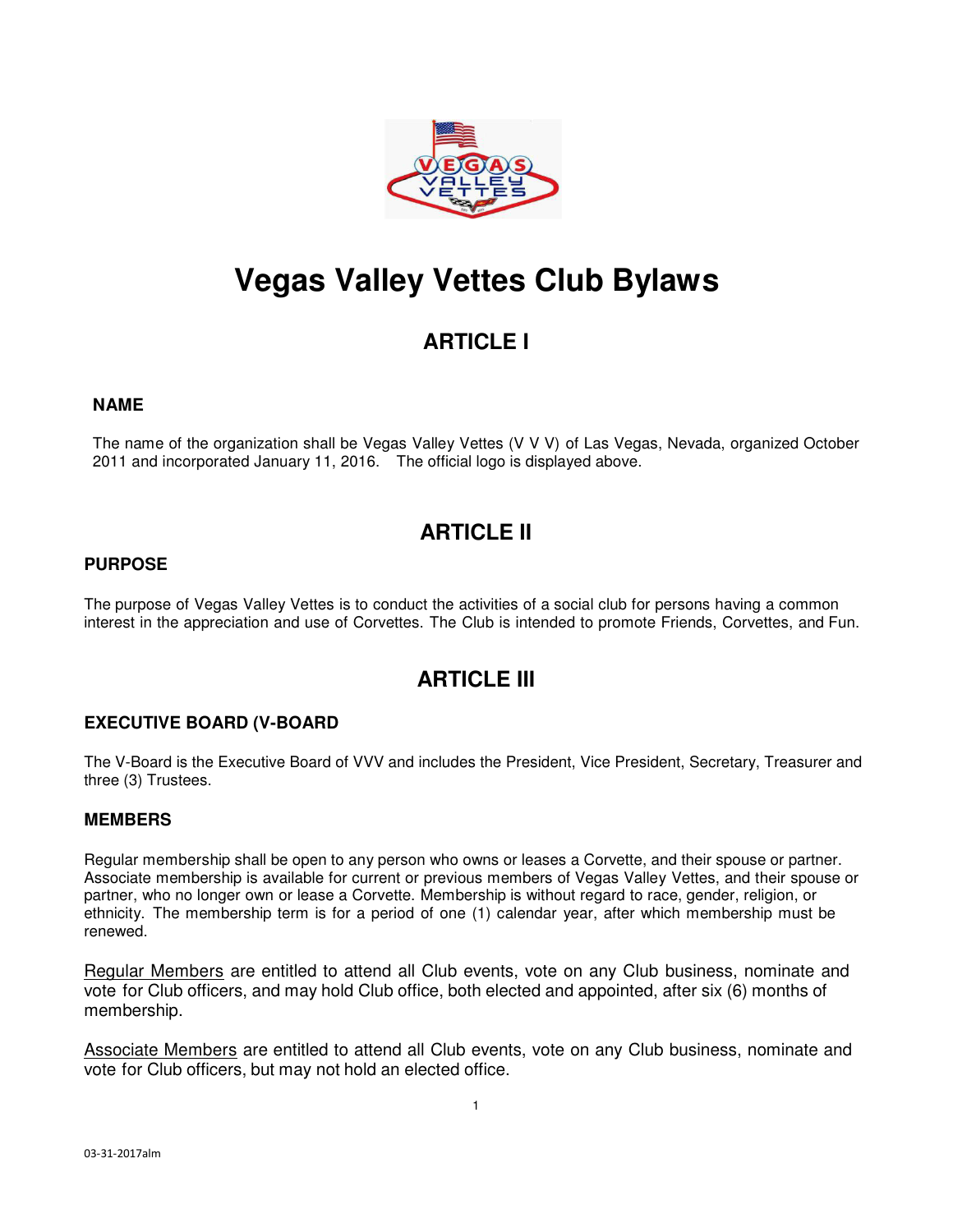

# **Vegas Valley Vettes Club Bylaws**

# **ARTICLE I**

#### **NAME**

The name of the organization shall be Vegas Valley Vettes (V V V) of Las Vegas, Nevada, organized October 2011 and incorporated January 11, 2016. The official logo is displayed above.

# **ARTICLE II**

#### **PURPOSE**

The purpose of Vegas Valley Vettes is to conduct the activities of a social club for persons having a common interest in the appreciation and use of Corvettes. The Club is intended to promote Friends, Corvettes, and Fun.

# **ARTICLE III**

### **EXECUTIVE BOARD (V-BOARD**

The V-Board is the Executive Board of VVV and includes the President, Vice President, Secretary, Treasurer and three (3) Trustees.

#### **MEMBERS**

Regular membership shall be open to any person who owns or leases a Corvette, and their spouse or partner. Associate membership is available for current or previous members of Vegas Valley Vettes, and their spouse or partner, who no longer own or lease a Corvette. Membership is without regard to race, gender, religion, or ethnicity. The membership term is for a period of one (1) calendar year, after which membership must be renewed.

Regular Members are entitled to attend all Club events, vote on any Club business, nominate and vote for Club officers, and may hold Club office, both elected and appointed, after six (6) months of membership.

Associate Members are entitled to attend all Club events, vote on any Club business, nominate and vote for Club officers, but may not hold an elected office.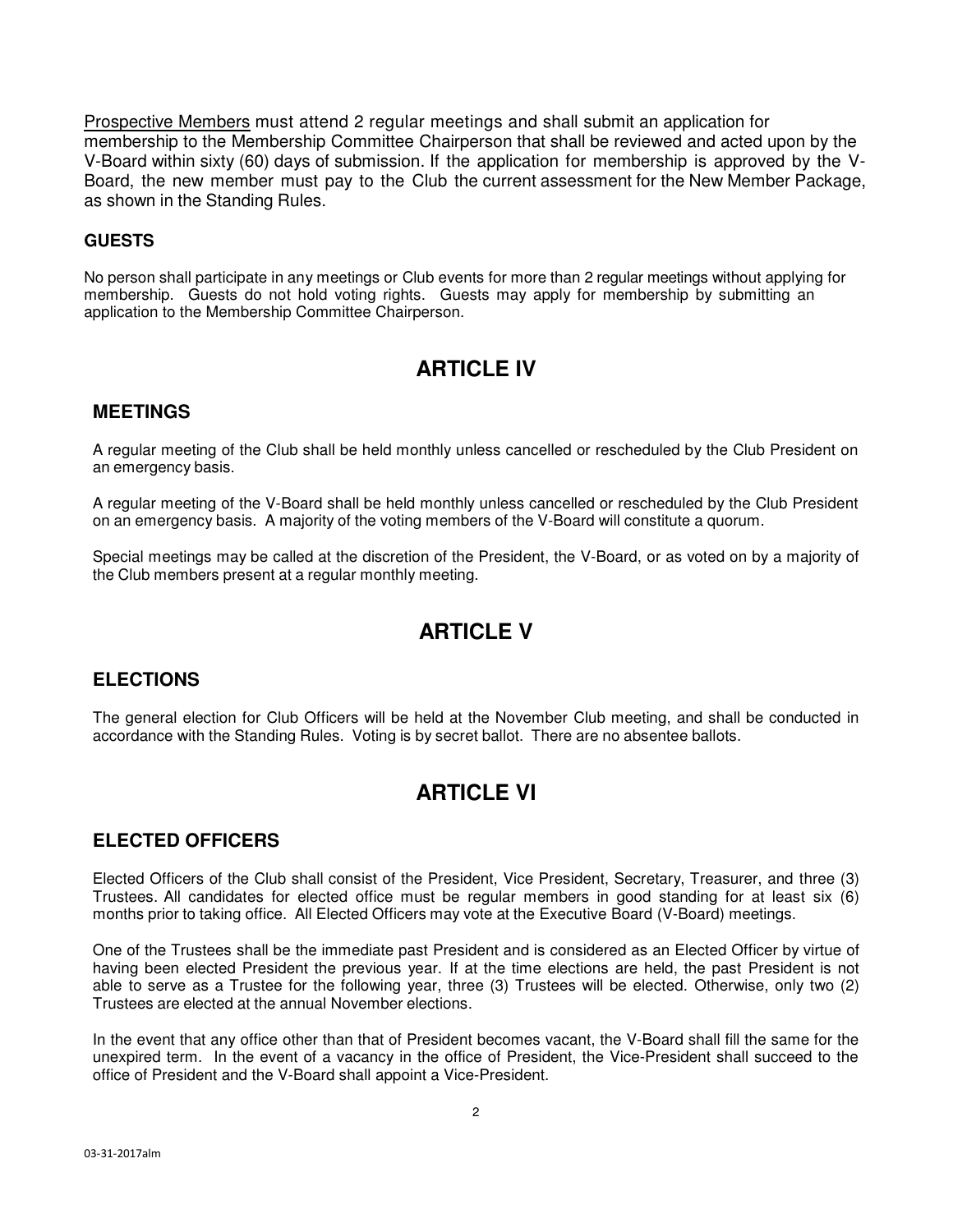Prospective Members must attend 2 regular meetings and shall submit an application for membership to the Membership Committee Chairperson that shall be reviewed and acted upon by the V-Board within sixty (60) days of submission. If the application for membership is approved by the V-Board, the new member must pay to the Club the current assessment for the New Member Package, as shown in the Standing Rules.

### **GUESTS**

No person shall participate in any meetings or Club events for more than 2 regular meetings without applying for membership. Guests do not hold voting rights. Guests may apply for membership by submitting an application to the Membership Committee Chairperson.

# **ARTICLE IV**

### **MEETINGS**

A regular meeting of the Club shall be held monthly unless cancelled or rescheduled by the Club President on an emergency basis.

A regular meeting of the V-Board shall be held monthly unless cancelled or rescheduled by the Club President on an emergency basis. A majority of the voting members of the V-Board will constitute a quorum.

Special meetings may be called at the discretion of the President, the V-Board, or as voted on by a majority of the Club members present at a regular monthly meeting.

# **ARTICLE V**

### **ELECTIONS**

The general election for Club Officers will be held at the November Club meeting, and shall be conducted in accordance with the Standing Rules. Voting is by secret ballot. There are no absentee ballots.

# **ARTICLE VI**

### **ELECTED OFFICERS**

Elected Officers of the Club shall consist of the President, Vice President, Secretary, Treasurer, and three (3) Trustees. All candidates for elected office must be regular members in good standing for at least six (6) months prior to taking office. All Elected Officers may vote at the Executive Board (V-Board) meetings.

One of the Trustees shall be the immediate past President and is considered as an Elected Officer by virtue of having been elected President the previous year. If at the time elections are held, the past President is not able to serve as a Trustee for the following year, three (3) Trustees will be elected. Otherwise, only two (2) Trustees are elected at the annual November elections.

In the event that any office other than that of President becomes vacant, the V-Board shall fill the same for the unexpired term. In the event of a vacancy in the office of President, the Vice-President shall succeed to the office of President and the V-Board shall appoint a Vice-President.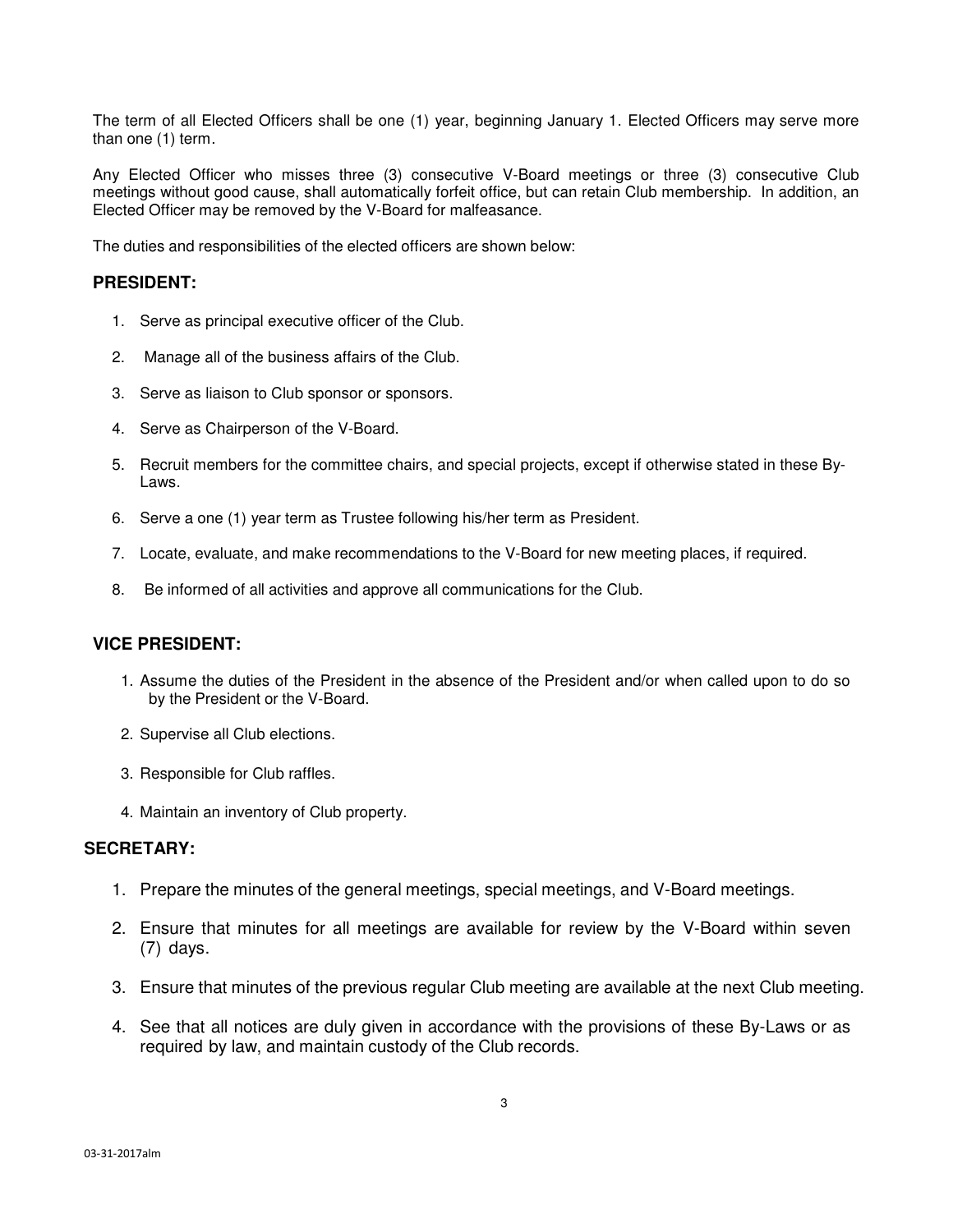The term of all Elected Officers shall be one (1) year, beginning January 1. Elected Officers may serve more than one (1) term.

Any Elected Officer who misses three (3) consecutive V-Board meetings or three (3) consecutive Club meetings without good cause, shall automatically forfeit office, but can retain Club membership. In addition, an Elected Officer may be removed by the V-Board for malfeasance.

The duties and responsibilities of the elected officers are shown below:

#### **PRESIDENT:**

- 1. Serve as principal executive officer of the Club.
- 2. Manage all of the business affairs of the Club.
- 3. Serve as liaison to Club sponsor or sponsors.
- 4. Serve as Chairperson of the V-Board.
- 5. Recruit members for the committee chairs, and special projects, except if otherwise stated in these By-Laws.
- 6. Serve a one (1) year term as Trustee following his/her term as President.
- 7. Locate, evaluate, and make recommendations to the V-Board for new meeting places, if required.
- 8. Be informed of all activities and approve all communications for the Club.

#### **VICE PRESIDENT:**

- 1. Assume the duties of the President in the absence of the President and/or when called upon to do so by the President or the V-Board.
- 2. Supervise all Club elections.
- 3. Responsible for Club raffles.
- 4. Maintain an inventory of Club property.

#### **SECRETARY:**

- 1. Prepare the minutes of the general meetings, special meetings, and V-Board meetings.
- 2. Ensure that minutes for all meetings are available for review by the V-Board within seven (7) days.
- 3. Ensure that minutes of the previous regular Club meeting are available at the next Club meeting.
- 4. See that all notices are duly given in accordance with the provisions of these By-Laws or as required by law, and maintain custody of the Club records.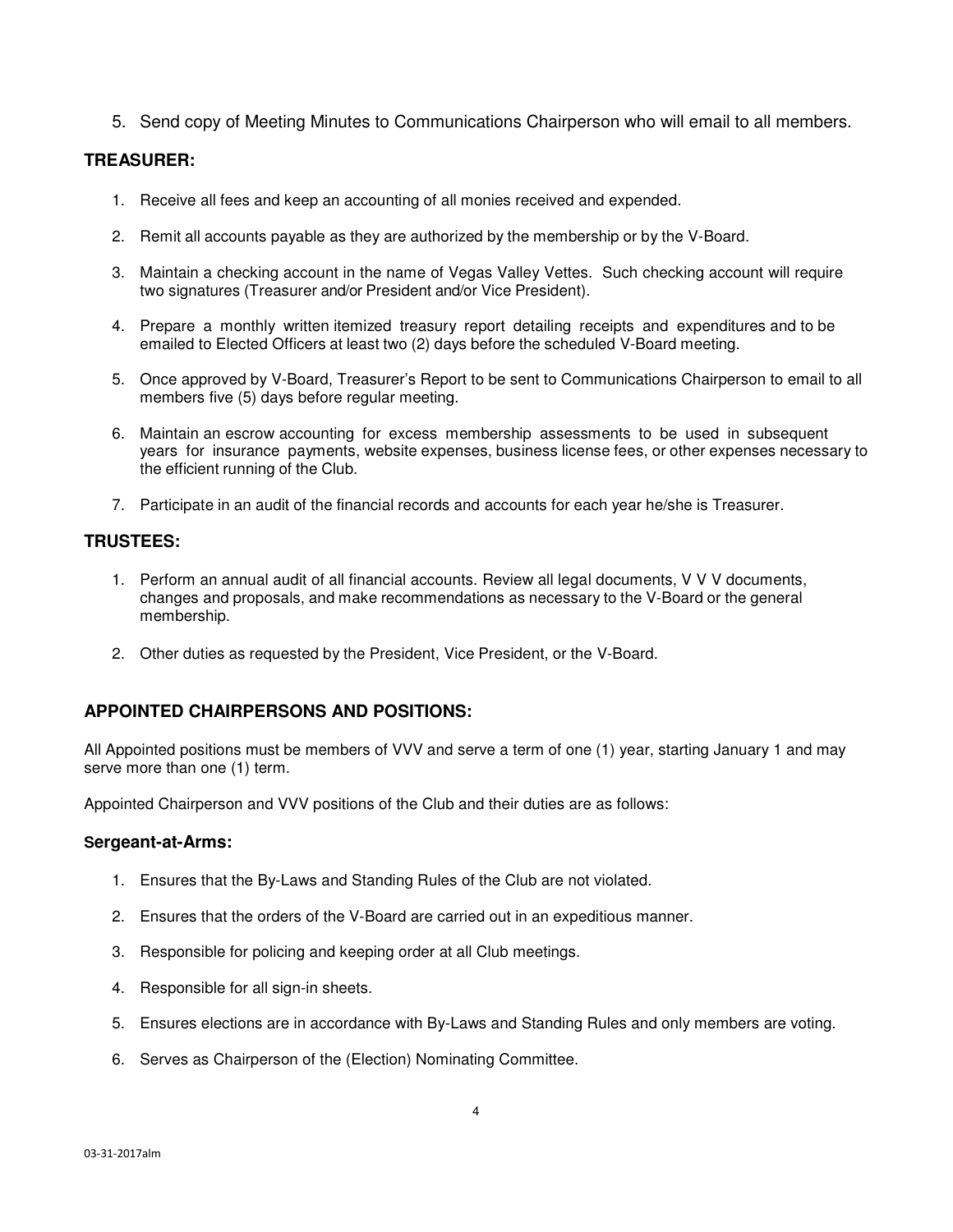5. Send copy of Meeting Minutes to Communications Chairperson who will email to all members.

#### **TREASURER:**

- 1. Receive all fees and keep an accounting of all monies received and expended.
- 2. Remit all accounts payable as they are authorized by the membership or by the V-Board.
- 3. Maintain a checking account in the name of Vegas Valley Vettes. Such checking account will require two signatures (Treasurer and/or President and/or Vice President).
- 4. Prepare a monthly written itemized treasury report detailing receipts and expenditures and to be emailed to Elected Officers at least two (2) days before the scheduled V-Board meeting.
- 5. Once approved by V-Board, Treasurer's Report to be sent to Communications Chairperson to email to all members five (5) days before regular meeting.
- 6. Maintain an escrow accounting for excess membership assessments to be used in subsequent years for insurance payments, website expenses, business license fees, or other expenses necessary to the efficient running of the Club.
- 7. Participate in an audit of the financial records and accounts for each year he/she is Treasurer.

#### **TRUSTEES:**

- 1. Perform an annual audit of all financial accounts. Review all legal documents, V V V documents, changes and proposals, and make recommendations as necessary to the V-Board or the general membership.
- 2. Other duties as requested by the President, Vice President, or the V-Board.

#### **APPOINTED CHAIRPERSONS AND POSITIONS:**

All Appointed positions must be members of VVV and serve a term of one (1) year, starting January 1 and may serve more than one (1) term.

Appointed Chairperson and VVV positions of the Club and their duties are as follows:

#### **Sergeant-at-Arms:**

- 1. Ensures that the By-Laws and Standing Rules of the Club are not violated.
- 2. Ensures that the orders of the V-Board are carried out in an expeditious manner.
- 3. Responsible for policing and keeping order at all Club meetings.
- 4. Responsible for all sign-in sheets.
- 5. Ensures elections are in accordance with By-Laws and Standing Rules and only members are voting.
- 6. Serves as Chairperson of the (Election) Nominating Committee.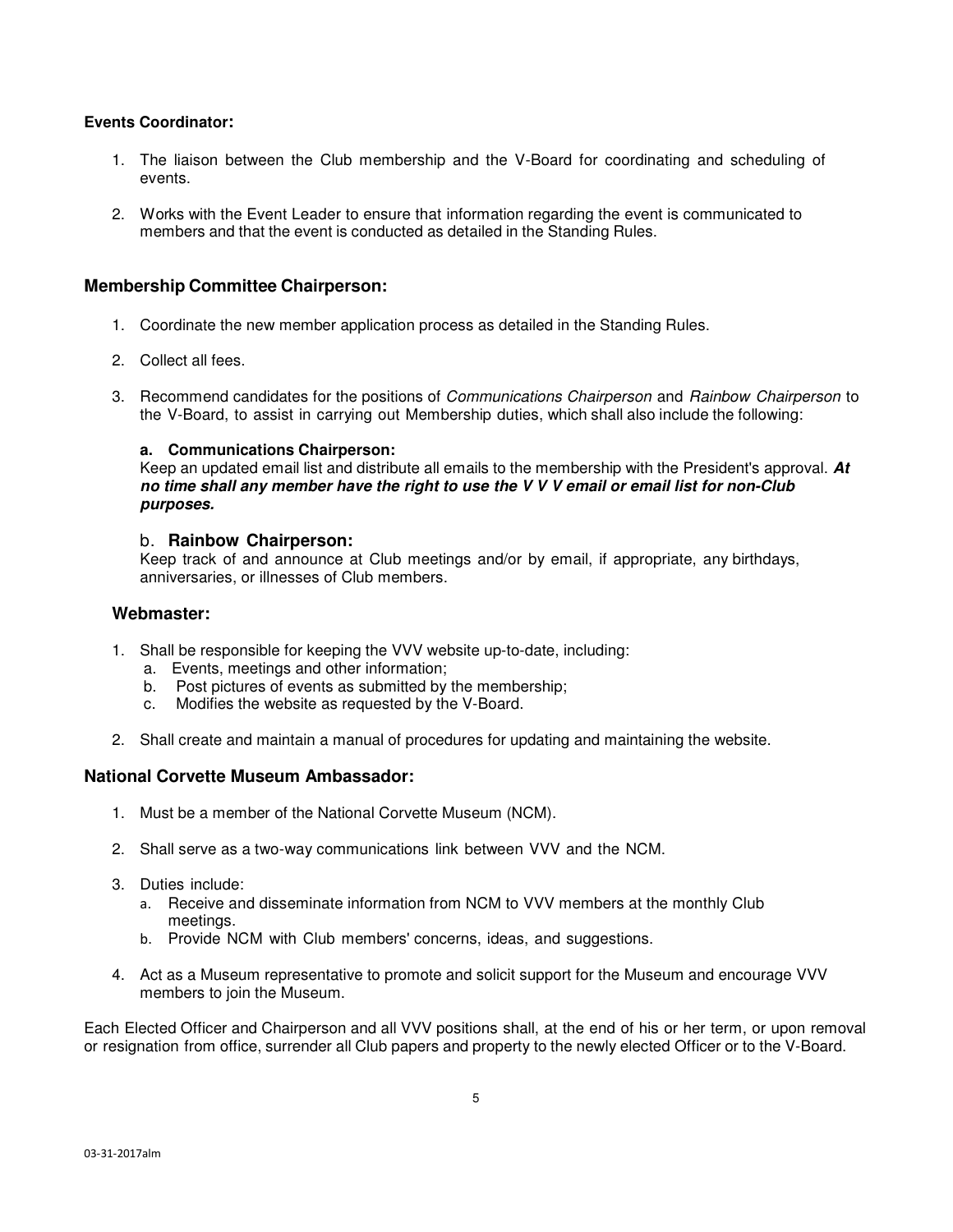#### **Events Coordinator:**

- 1. The liaison between the Club membership and the V-Board for coordinating and scheduling of events.
- 2. Works with the Event Leader to ensure that information regarding the event is communicated to members and that the event is conducted as detailed in the Standing Rules.

#### **Membership Committee Chairperson:**

- 1. Coordinate the new member application process as detailed in the Standing Rules.
- 2. Collect all fees.
- 3. Recommend candidates for the positions of Communications Chairperson and Rainbow Chairperson to the V-Board, to assist in carrying out Membership duties, which shall also include the following:

#### **a. Communications Chairperson:**

Keep an updated email list and distribute all emails to the membership with the President's approval. **At no time shall any member have the right to use the V V V email or email list for non-Club purposes.** 

#### b. **Rainbow Chairperson:**

Keep track of and announce at Club meetings and/or by email, if appropriate, any birthdays, anniversaries, or illnesses of Club members.

#### **Webmaster:**

- 1. Shall be responsible for keeping the VVV website up-to-date, including:
	- a. Events, meetings and other information;
	- b. Post pictures of events as submitted by the membership;
	- c. Modifies the website as requested by the V-Board.
- 2. Shall create and maintain a manual of procedures for updating and maintaining the website.

#### **National Corvette Museum Ambassador:**

- 1. Must be a member of the National Corvette Museum (NCM).
- 2. Shall serve as a two-way communications link between VVV and the NCM.
- 3. Duties include:
	- a. Receive and disseminate information from NCM to VVV members at the monthly Club meetings.
	- b. Provide NCM with Club members' concerns, ideas, and suggestions.
- 4. Act as a Museum representative to promote and solicit support for the Museum and encourage VVV members to join the Museum.

Each Elected Officer and Chairperson and all VVV positions shall, at the end of his or her term, or upon removal or resignation from office, surrender all Club papers and property to the newly elected Officer or to the V-Board.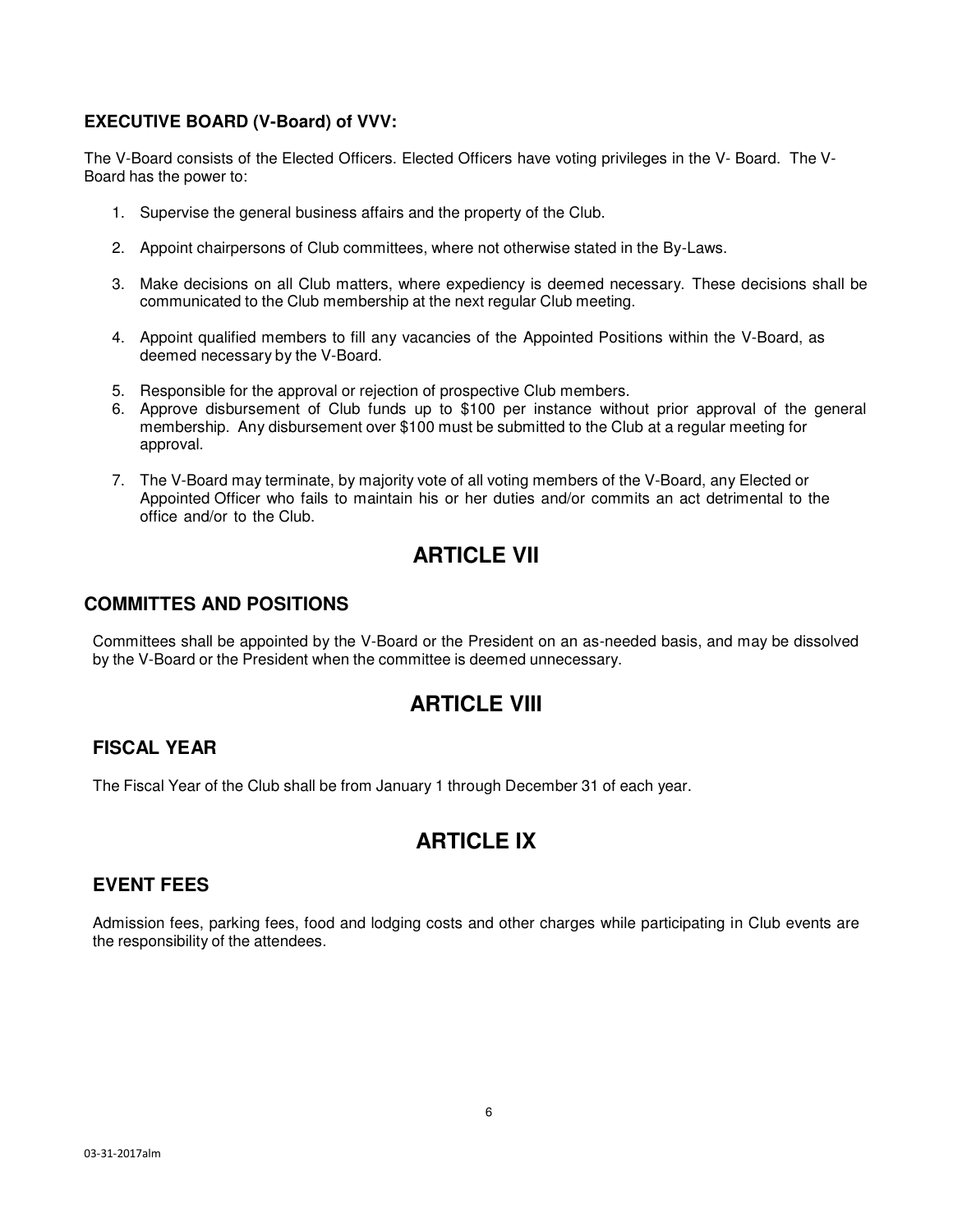### **EXECUTIVE BOARD (V-Board) of VVV:**

The V-Board consists of the Elected Officers. Elected Officers have voting privileges in the V- Board. The V-Board has the power to:

- 1. Supervise the general business affairs and the property of the Club.
- 2. Appoint chairpersons of Club committees, where not otherwise stated in the By-Laws.
- 3. Make decisions on all Club matters, where expediency is deemed necessary. These decisions shall be communicated to the Club membership at the next regular Club meeting.
- 4. Appoint qualified members to fill any vacancies of the Appointed Positions within the V-Board, as deemed necessary by the V-Board.
- 5. Responsible for the approval or rejection of prospective Club members.
- 6. Approve disbursement of Club funds up to \$100 per instance without prior approval of the general membership. Any disbursement over \$100 must be submitted to the Club at a regular meeting for approval.
- 7. The V-Board may terminate, by majority vote of all voting members of the V-Board, any Elected or Appointed Officer who fails to maintain his or her duties and/or commits an act detrimental to the office and/or to the Club.

### **ARTICLE VII**

### **COMMITTES AND POSITIONS**

Committees shall be appointed by the V-Board or the President on an as-needed basis, and may be dissolved by the V-Board or the President when the committee is deemed unnecessary.

### **ARTICLE VIII**

### **FISCAL YEAR**

The Fiscal Year of the Club shall be from January 1 through December 31 of each year.

# **ARTICLE IX**

#### **EVENT FEES**

Admission fees, parking fees, food and lodging costs and other charges while participating in Club events are the responsibility of the attendees.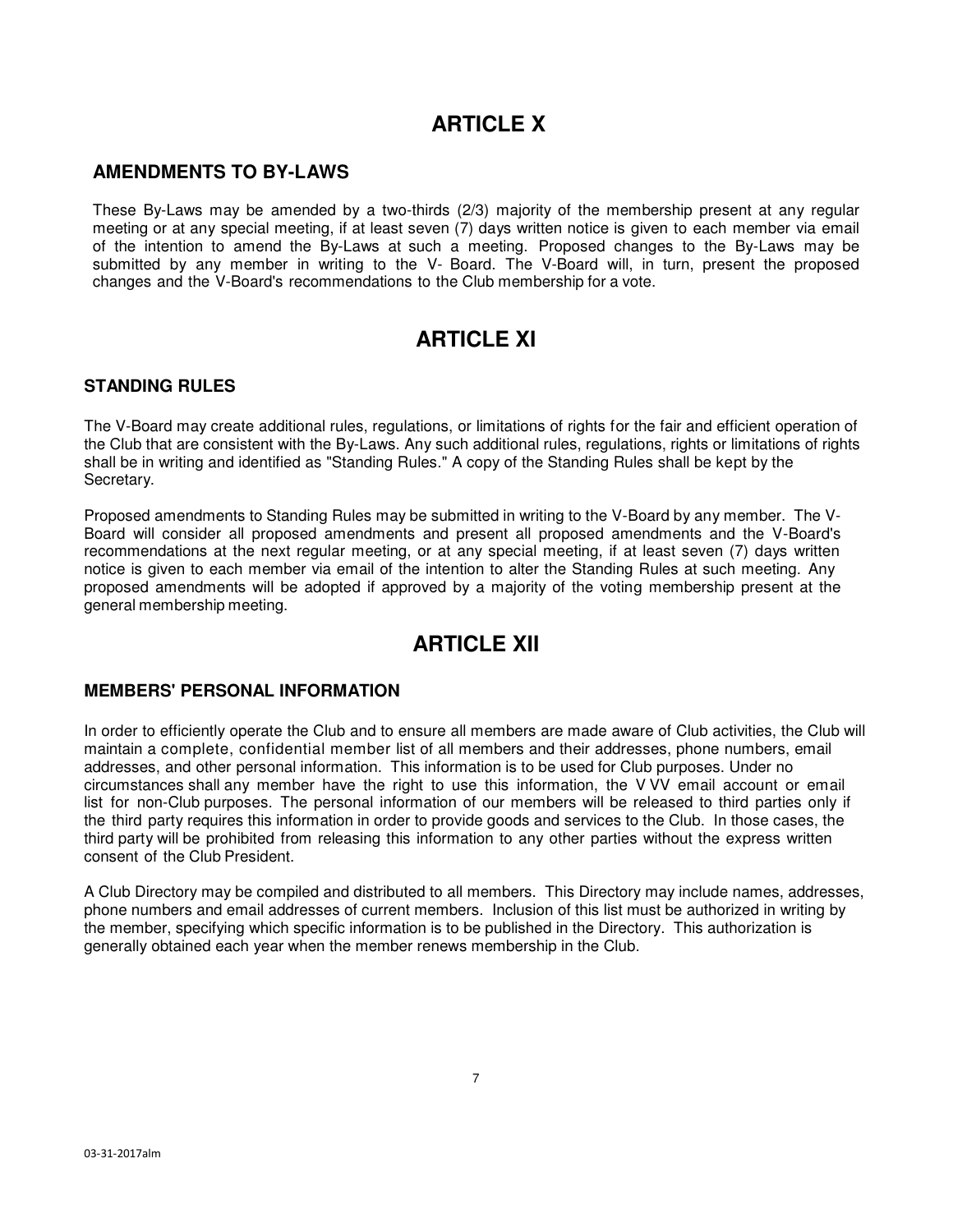# **ARTICLE X**

### **AMENDMENTS TO BY-LAWS**

These By-Laws may be amended by a two-thirds (2/3) majority of the membership present at any regular meeting or at any special meeting, if at least seven (7) days written notice is given to each member via email of the intention to amend the By-Laws at such a meeting. Proposed changes to the By-Laws may be submitted by any member in writing to the V- Board. The V-Board will, in turn, present the proposed changes and the V-Board's recommendations to the Club membership for a vote.

# **ARTICLE XI**

#### **STANDING RULES**

The V-Board may create additional rules, regulations, or limitations of rights for the fair and efficient operation of the Club that are consistent with the By-Laws. Any such additional rules, regulations, rights or limitations of rights shall be in writing and identified as "Standing Rules." A copy of the Standing Rules shall be kept by the Secretary.

Proposed amendments to Standing Rules may be submitted in writing to the V-Board by any member. The V-Board will consider all proposed amendments and present all proposed amendments and the V-Board's recommendations at the next regular meeting, or at any special meeting, if at least seven (7) days written notice is given to each member via email of the intention to alter the Standing Rules at such meeting. Any proposed amendments will be adopted if approved by a majority of the voting membership present at the general membership meeting.

### **ARTICLE XII**

#### **MEMBERS' PERSONAL INFORMATION**

In order to efficiently operate the Club and to ensure all members are made aware of Club activities, the Club will maintain a complete, confidential member list of all members and their addresses, phone numbers, email addresses, and other personal information. This information is to be used for Club purposes. Under no circumstances shall any member have the right to use this information, the V VV email account or email list for non-Club purposes. The personal information of our members will be released to third parties only if the third party requires this information in order to provide goods and services to the Club. In those cases, the third party will be prohibited from releasing this information to any other parties without the express written consent of the Club President.

A Club Directory may be compiled and distributed to all members. This Directory may include names, addresses, phone numbers and email addresses of current members. Inclusion of this list must be authorized in writing by the member, specifying which specific information is to be published in the Directory. This authorization is generally obtained each year when the member renews membership in the Club.